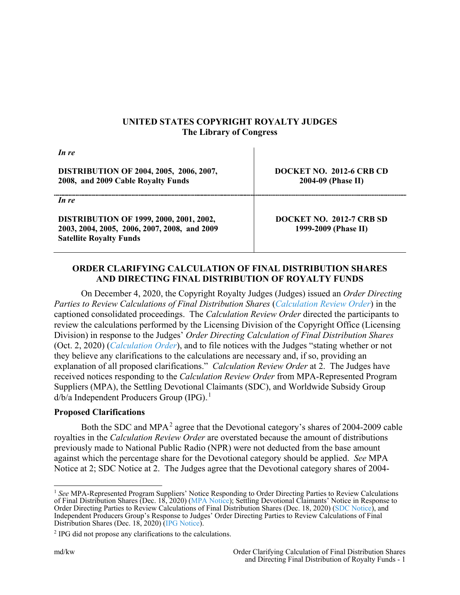## **UNITED STATES COPYRIGHT ROYALTY JUDGES The Library of Congress**

| In re                                                                                                                            |                                                       |
|----------------------------------------------------------------------------------------------------------------------------------|-------------------------------------------------------|
| <b>DISTRIBUTION OF 2004, 2005, 2006, 2007,</b><br>2008, and 2009 Cable Royalty Funds                                             | <b>DOCKET NO. 2012-6 CRB CD</b><br>2004-09 (Phase II) |
| In re                                                                                                                            |                                                       |
| <b>DISTRIBUTION OF 1999, 2000, 2001, 2002,</b><br>2003, 2004, 2005, 2006, 2007, 2008, and 2009<br><b>Satellite Royalty Funds</b> | DOCKET NO. 2012-7 CRB SD<br>1999-2009 (Phase II)      |

# **ORDER CLARIFYING CALCULATION OF FINAL DISTRIBUTION SHARES AND DIRECTING FINAL DISTRIBUTION OF ROYALTY FUNDS**

On December 4, 2020, the Copyright Royalty Judges (Judges) issued an *Order Directing Parties to Review Calculations of Final Distribution Shares* (*[Calculation Review Order](https://app.crb.gov/document/download/23376)*) in the captioned consolidated proceedings. The *Calculation Review Order* directed the participants to review the calculations performed by the Licensing Division of the Copyright Office (Licensing Division) in response to the Judges' *Order Directing Calculation of Final Distribution Shares* (Oct. 2, 2020) (*[Calculation Order](https://app.crb.gov/case/viewDocument/22769)*), and to file notices with the Judges "stating whether or not they believe any clarifications to the calculations are necessary and, if so, providing an explanation of all proposed clarifications." *Calculation Review Order* at 2. The Judges have received notices responding to the *Calculation Review Order* from MPA-Represented Program Suppliers (MPA), the Settling Devotional Claimants (SDC), and Worldwide Subsidy Group d/b/a Independent Producers Group (IPG).<sup>1</sup>

## **Proposed Clarifications**

Both the SDC and MPA<sup>2</sup> agree that the Devotional category's shares of 2004-2009 cable royalties in the *Calculation Review Order* are overstated because the amount of distributions previously made to National Public Radio (NPR) were not deducted from the base amount against which the percentage share for the Devotional category should be applied. *See* MPA Notice at 2; SDC Notice at 2. The Judges agree that the Devotional category shares of 2004-

 <sup>1</sup> *See* MPA-Represented Program Suppliers' Notice Responding to Order Directing Parties to Review Calculations of Final Distribution Shares (Dec. 18, 2020) [\(MPA Notice\)](https://app.crb.gov/document/download/23391); Settling Devotional Claimants' Notice in Response to Order Directing Parties to Review Calculations of Final Distribution Shares (Dec. 18, 2020) [\(SDC Notice\)](https://app.crb.gov/document/download/23399), and Independent Producers Group's Response to Judges' Order Directing Parties to Review Calculations of Final Distribution Shares (Dec. 18, 2020) [\(IPG Notice\)](https://app.crb.gov/document/download/23400).

<sup>2</sup> IPG did not propose any clarifications to the calculations.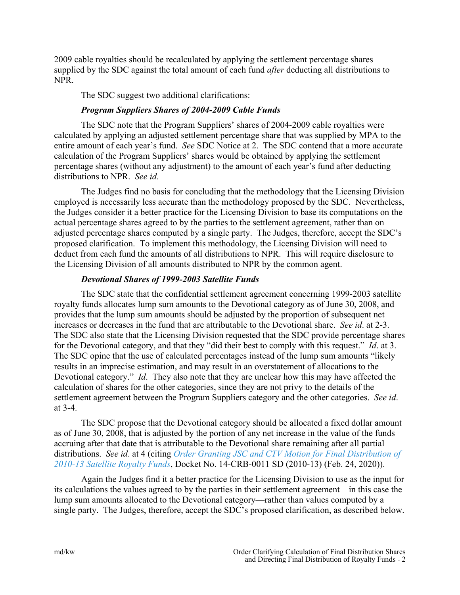2009 cable royalties should be recalculated by applying the settlement percentage shares supplied by the SDC against the total amount of each fund *after* deducting all distributions to NPR.

The SDC suggest two additional clarifications:

#### *Program Suppliers Shares of 2004-2009 Cable Funds*

The SDC note that the Program Suppliers' shares of 2004-2009 cable royalties were calculated by applying an adjusted settlement percentage share that was supplied by MPA to the entire amount of each year's fund. *See* SDC Notice at 2. The SDC contend that a more accurate calculation of the Program Suppliers' shares would be obtained by applying the settlement percentage shares (without any adjustment) to the amount of each year's fund after deducting distributions to NPR. *See id*.

The Judges find no basis for concluding that the methodology that the Licensing Division employed is necessarily less accurate than the methodology proposed by the SDC. Nevertheless, the Judges consider it a better practice for the Licensing Division to base its computations on the actual percentage shares agreed to by the parties to the settlement agreement, rather than on adjusted percentage shares computed by a single party. The Judges, therefore, accept the SDC's proposed clarification. To implement this methodology, the Licensing Division will need to deduct from each fund the amounts of all distributions to NPR. This will require disclosure to the Licensing Division of all amounts distributed to NPR by the common agent.

## *Devotional Shares of 1999-2003 Satellite Funds*

The SDC state that the confidential settlement agreement concerning 1999-2003 satellite royalty funds allocates lump sum amounts to the Devotional category as of June 30, 2008, and provides that the lump sum amounts should be adjusted by the proportion of subsequent net increases or decreases in the fund that are attributable to the Devotional share. *See id*. at 2-3. The SDC also state that the Licensing Division requested that the SDC provide percentage shares for the Devotional category, and that they "did their best to comply with this request." *Id*. at 3. The SDC opine that the use of calculated percentages instead of the lump sum amounts "likely results in an imprecise estimation, and may result in an overstatement of allocations to the Devotional category." *Id*. They also note that they are unclear how this may have affected the calculation of shares for the other categories, since they are not privy to the details of the settlement agreement between the Program Suppliers category and the other categories. *See id*. at 3-4.

The SDC propose that the Devotional category should be allocated a fixed dollar amount as of June 30, 2008, that is adjusted by the portion of any net increase in the value of the funds accruing after that date that is attributable to the Devotional share remaining after all partial distributions. *See id*. at 4 (citing *[Order Granting JSC and CTV Motion for Final Distribution of](https://app.crb.gov/document/download/21044)  [2010-13 Satellite Royalty Funds](https://app.crb.gov/document/download/21044)*, Docket No. 14-CRB-0011 SD (2010-13) (Feb. 24, 2020)).

Again the Judges find it a better practice for the Licensing Division to use as the input for its calculations the values agreed to by the parties in their settlement agreement—in this case the lump sum amounts allocated to the Devotional category—rather than values computed by a single party. The Judges, therefore, accept the SDC's proposed clarification, as described below.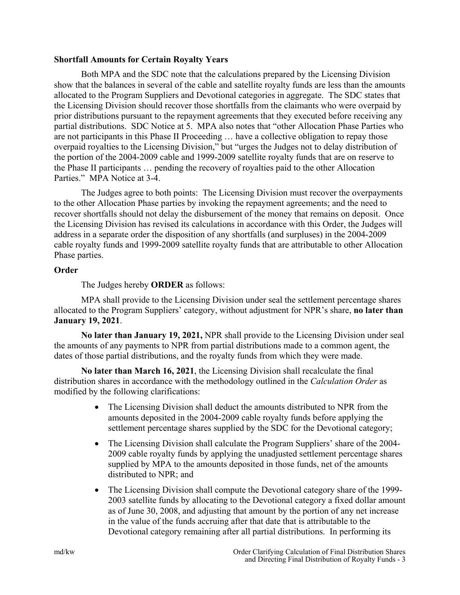#### **Shortfall Amounts for Certain Royalty Years**

Both MPA and the SDC note that the calculations prepared by the Licensing Division show that the balances in several of the cable and satellite royalty funds are less than the amounts allocated to the Program Suppliers and Devotional categories in aggregate. The SDC states that the Licensing Division should recover those shortfalls from the claimants who were overpaid by prior distributions pursuant to the repayment agreements that they executed before receiving any partial distributions. SDC Notice at 5. MPA also notes that "other Allocation Phase Parties who are not participants in this Phase II Proceeding … have a collective obligation to repay those overpaid royalties to the Licensing Division," but "urges the Judges not to delay distribution of the portion of the 2004-2009 cable and 1999-2009 satellite royalty funds that are on reserve to the Phase II participants … pending the recovery of royalties paid to the other Allocation Parties." MPA Notice at 3-4.

The Judges agree to both points: The Licensing Division must recover the overpayments to the other Allocation Phase parties by invoking the repayment agreements; and the need to recover shortfalls should not delay the disbursement of the money that remains on deposit. Once the Licensing Division has revised its calculations in accordance with this Order, the Judges will address in a separate order the disposition of any shortfalls (and surpluses) in the 2004-2009 cable royalty funds and 1999-2009 satellite royalty funds that are attributable to other Allocation Phase parties.

#### **Order**

The Judges hereby **ORDER** as follows:

MPA shall provide to the Licensing Division under seal the settlement percentage shares allocated to the Program Suppliers' category, without adjustment for NPR's share, **no later than January 19, 2021**.

**No later than January 19, 2021,** NPR shall provide to the Licensing Division under seal the amounts of any payments to NPR from partial distributions made to a common agent, the dates of those partial distributions, and the royalty funds from which they were made.

**No later than March 16, 2021**, the Licensing Division shall recalculate the final distribution shares in accordance with the methodology outlined in the *Calculation Order* as modified by the following clarifications:

- The Licensing Division shall deduct the amounts distributed to NPR from the amounts deposited in the 2004-2009 cable royalty funds before applying the settlement percentage shares supplied by the SDC for the Devotional category;
- The Licensing Division shall calculate the Program Suppliers' share of the 2004-2009 cable royalty funds by applying the unadjusted settlement percentage shares supplied by MPA to the amounts deposited in those funds, net of the amounts distributed to NPR; and
- The Licensing Division shall compute the Devotional category share of the 1999-2003 satellite funds by allocating to the Devotional category a fixed dollar amount as of June 30, 2008, and adjusting that amount by the portion of any net increase in the value of the funds accruing after that date that is attributable to the Devotional category remaining after all partial distributions. In performing its